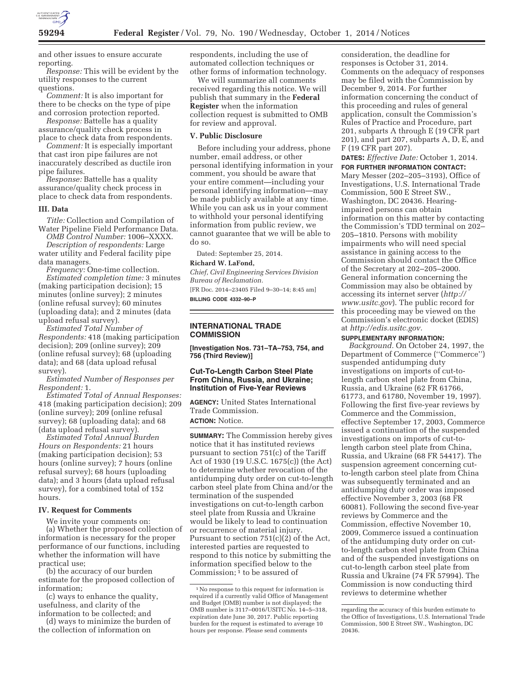

and other issues to ensure accurate reporting.

*Response:* This will be evident by the utility responses to the current questions.

*Comment:* It is also important for there to be checks on the type of pipe and corrosion protection reported.

*Response:* Battelle has a quality assurance/quality check process in place to check data from respondents.

*Comment:* It is especially important that cast iron pipe failures are not inaccurately described as ductile iron pipe failures.

*Response:* Battelle has a quality assurance/quality check process in place to check data from respondents.

#### **III. Data**

*Title:* Collection and Compilation of Water Pipeline Field Performance Data.

*OMB Control Number:* 1006–XXXX. *Description of respondents:* Large

water utility and Federal facility pipe data managers.

*Frequency:* One-time collection. *Estimated completion time:* 3 minutes (making participation decision); 15 minutes (online survey); 2 minutes (online refusal survey); 60 minutes (uploading data); and 2 minutes (data upload refusal survey).

*Estimated Total Number of Respondents:* 418 (making participation decision); 209 (online survey); 209 (online refusal survey); 68 (uploading data); and 68 (data upload refusal survey).

*Estimated Number of Responses per Respondent:* 1.

*Estimated Total of Annual Responses:*  418 (making participation decision); 209 (online survey); 209 (online refusal survey); 68 (uploading data); and 68 (data upload refusal survey).

*Estimated Total Annual Burden Hours on Respondents:* 21 hours (making participation decision); 53 hours (online survey); 7 hours (online refusal survey); 68 hours (uploading data); and 3 hours (data upload refusal survey), for a combined total of 152 hours.

## **IV. Request for Comments**

We invite your comments on: (a) Whether the proposed collection of information is necessary for the proper performance of our functions, including whether the information will have practical use;

(b) the accuracy of our burden estimate for the proposed collection of information;

(c) ways to enhance the quality, usefulness, and clarity of the information to be collected; and

(d) ways to minimize the burden of the collection of information on

respondents, including the use of automated collection techniques or other forms of information technology.

We will summarize all comments received regarding this notice. We will publish that summary in the **Federal Register** when the information collection request is submitted to OMB for review and approval.

## **V. Public Disclosure**

Before including your address, phone number, email address, or other personal identifying information in your comment, you should be aware that your entire comment—including your personal identifying information—may be made publicly available at any time. While you can ask us in your comment to withhold your personal identifying information from public review, we cannot guarantee that we will be able to do so.

Dated: September 25, 2014.

# **Richard W. LaFond,**

*Chief, Civil Engineering Services Division Bureau of Reclamation.* 

[FR Doc. 2014–23405 Filed 9–30–14; 8:45 am] **BILLING CODE 4332–90–P** 

## **INTERNATIONAL TRADE COMMISSION**

**[Investigation Nos. 731–TA–753, 754, and 756 (Third Review)]** 

## **Cut-To-Length Carbon Steel Plate From China, Russia, and Ukraine; Institution of Five-Year Reviews**

**AGENCY:** United States International Trade Commission. **ACTION:** Notice.

**SUMMARY:** The Commission hereby gives notice that it has instituted reviews pursuant to section 751(c) of the Tariff Act of 1930 (19 U.S.C. 1675(c)) (the Act) to determine whether revocation of the antidumping duty order on cut-to-length carbon steel plate from China and/or the termination of the suspended investigations on cut-to-length carbon steel plate from Russia and Ukraine would be likely to lead to continuation or recurrence of material injury. Pursuant to section 751(c)(2) of the Act, interested parties are requested to respond to this notice by submitting the information specified below to the Commission; 1 to be assured of

consideration, the deadline for responses is October 31, 2014. Comments on the adequacy of responses may be filed with the Commission by December 9, 2014. For further information concerning the conduct of this proceeding and rules of general application, consult the Commission's Rules of Practice and Procedure, part 201, subparts A through E (19 CFR part 201), and part 207, subparts A, D, E, and F (19 CFR part 207).

**DATES:** *Effective Date:* October 1, 2014.

**FOR FURTHER INFORMATION CONTACT:**  Mary Messer (202–205–3193), Office of Investigations, U.S. International Trade Commission, 500 E Street SW., Washington, DC 20436. Hearingimpaired persons can obtain information on this matter by contacting the Commission's TDD terminal on 202– 205–1810. Persons with mobility impairments who will need special assistance in gaining access to the Commission should contact the Office of the Secretary at 202–205–2000. General information concerning the Commission may also be obtained by accessing its internet server (*http:// www.usitc.gov*). The public record for this proceeding may be viewed on the Commission's electronic docket (EDIS) at *http://edis.usitc.gov.* 

### **SUPPLEMENTARY INFORMATION:**

*Background.* On October 24, 1997, the Department of Commerce (''Commerce'') suspended antidumping duty investigations on imports of cut-tolength carbon steel plate from China, Russia, and Ukraine (62 FR 61766, 61773, and 61780, November 19, 1997). Following the first five-year reviews by Commerce and the Commission, effective September 17, 2003, Commerce issued a continuation of the suspended investigations on imports of cut-tolength carbon steel plate from China, Russia, and Ukraine (68 FR 54417). The suspension agreement concerning cutto-length carbon steel plate from China was subsequently terminated and an antidumping duty order was imposed effective November 3, 2003 (68 FR 60081). Following the second five-year reviews by Commerce and the Commission, effective November 10, 2009, Commerce issued a continuation of the antidumping duty order on cutto-length carbon steel plate from China and of the suspended investigations on cut-to-length carbon steel plate from Russia and Ukraine (74 FR 57994). The Commission is now conducting third reviews to determine whether

<sup>1</sup>No response to this request for information is required if a currently valid Office of Management and Budget (OMB) number is not displayed; the OMB number is 3117–0016/USITC No. 14–5–318, expiration date June 30, 2017. Public reporting burden for the request is estimated to average 10 hours per response. Please send comments

regarding the accuracy of this burden estimate to the Office of Investigations, U.S. International Trade Commission, 500 E Street SW., Washington, DC 20436.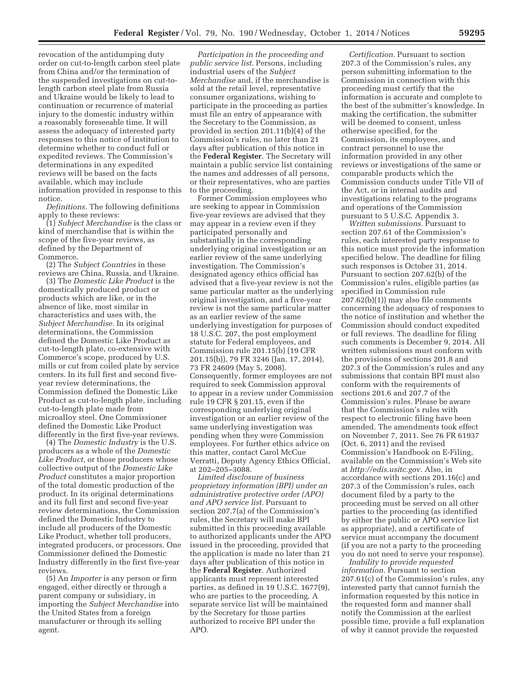revocation of the antidumping duty order on cut-to-length carbon steel plate from China and/or the termination of the suspended investigations on cut-tolength carbon steel plate from Russia and Ukraine would be likely to lead to continuation or recurrence of material injury to the domestic industry within a reasonably foreseeable time. It will assess the adequacy of interested party responses to this notice of institution to determine whether to conduct full or expedited reviews. The Commission's determinations in any expedited reviews will be based on the facts available, which may include information provided in response to this notice.

*Definitions.* The following definitions apply to these reviews:

(1) *Subject Merchandise* is the class or kind of merchandise that is within the scope of the five-year reviews, as defined by the Department of Commerce.

(2) The *Subject Countries* in these reviews are China, Russia, and Ukraine.

(3) The *Domestic Like Product* is the domestically produced product or products which are like, or in the absence of like, most similar in characteristics and uses with, the *Subject Merchandise.* In its original determinations, the Commission defined the Domestic Like Product as cut-to-length plate, co-extensive with Commerce's scope, produced by U.S. mills or cut from coiled plate by service centers. In its full first and second fiveyear review determinations, the Commission defined the Domestic Like Product as cut-to-length plate, including cut-to-length plate made from microalloy steel. One Commissioner defined the Domestic Like Product differently in the first five-year reviews.

(4) The *Domestic Industry* is the U.S. producers as a whole of the *Domestic Like Product,* or those producers whose collective output of the *Domestic Like Product* constitutes a major proportion of the total domestic production of the product. In its original determinations and its full first and second five-year review determinations, the Commission defined the Domestic Industry to include all producers of the Domestic Like Product, whether toll producers, integrated producers, or processors. One Commissioner defined the Domestic Industry differently in the first five-year reviews.

(5) An *Importer* is any person or firm engaged, either directly or through a parent company or subsidiary, in importing the *Subject Merchandise* into the United States from a foreign manufacturer or through its selling agent.

*Participation in the proceeding and public service list.* Persons, including industrial users of the *Subject Merchandise* and, if the merchandise is sold at the retail level, representative consumer organizations, wishing to participate in the proceeding as parties must file an entry of appearance with the Secretary to the Commission, as provided in section 201.11(b)(4) of the Commission's rules, no later than 21 days after publication of this notice in the **Federal Register**. The Secretary will maintain a public service list containing the names and addresses of all persons, or their representatives, who are parties to the proceeding.

Former Commission employees who are seeking to appear in Commission five-year reviews are advised that they may appear in a review even if they participated personally and substantially in the corresponding underlying original investigation or an earlier review of the same underlying investigation. The Commission's designated agency ethics official has advised that a five-year review is not the same particular matter as the underlying original investigation, and a five-year review is not the same particular matter as an earlier review of the same underlying investigation for purposes of 18 U.S.C. 207, the post employment statute for Federal employees, and Commission rule 201.15(b) (19 CFR 201.15(b)), 79 FR 3246 (Jan. 17, 2014), 73 FR 24609 (May 5, 2008). Consequently, former employees are not required to seek Commission approval to appear in a review under Commission rule 19 CFR § 201.15, even if the corresponding underlying original investigation or an earlier review of the same underlying investigation was pending when they were Commission employees. For further ethics advice on this matter, contact Carol McCue Verratti, Deputy Agency Ethics Official, at 202–205–3088.

*Limited disclosure of business proprietary information (BPI) under an administrative protective order (APO) and APO service list.* Pursuant to section 207.7(a) of the Commission's rules, the Secretary will make BPI submitted in this proceeding available to authorized applicants under the APO issued in the proceeding, provided that the application is made no later than 21 days after publication of this notice in the **Federal Register**. Authorized applicants must represent interested parties, as defined in 19 U.S.C. 1677(9), who are parties to the proceeding. A separate service list will be maintained by the Secretary for those parties authorized to receive BPI under the APO.

*Certification.* Pursuant to section 207.3 of the Commission's rules, any person submitting information to the Commission in connection with this proceeding must certify that the information is accurate and complete to the best of the submitter's knowledge. In making the certification, the submitter will be deemed to consent, unless otherwise specified, for the Commission, its employees, and contract personnel to use the information provided in any other reviews or investigations of the same or comparable products which the Commission conducts under Title VII of the Act, or in internal audits and investigations relating to the programs and operations of the Commission pursuant to 5 U.S.C. Appendix 3.

*Written submissions.* Pursuant to section 207.61 of the Commission's rules, each interested party response to this notice must provide the information specified below. The deadline for filing such responses is October 31, 2014. Pursuant to section 207.62(b) of the Commission's rules, eligible parties (as specified in Commission rule 207.62(b)(1)) may also file comments concerning the adequacy of responses to the notice of institution and whether the Commission should conduct expedited or full reviews. The deadline for filing such comments is December 9, 2014. All written submissions must conform with the provisions of sections 201.8 and 207.3 of the Commission's rules and any submissions that contain BPI must also conform with the requirements of sections 201.6 and 207.7 of the Commission's rules. Please be aware that the Commission's rules with respect to electronic filing have been amended. The amendments took effect on November 7, 2011. See 76 FR 61937 (Oct. 6, 2011) and the revised Commission's Handbook on E-Filing, available on the Commission's Web site at *http://edis.usitc.gov.* Also, in accordance with sections 201.16(c) and 207.3 of the Commission's rules, each document filed by a party to the proceeding must be served on all other parties to the proceeding (as identified by either the public or APO service list as appropriate), and a certificate of service must accompany the document (if you are not a party to the proceeding you do not need to serve your response).

*Inability to provide requested information.* Pursuant to section 207.61(c) of the Commission's rules, any interested party that cannot furnish the information requested by this notice in the requested form and manner shall notify the Commission at the earliest possible time, provide a full explanation of why it cannot provide the requested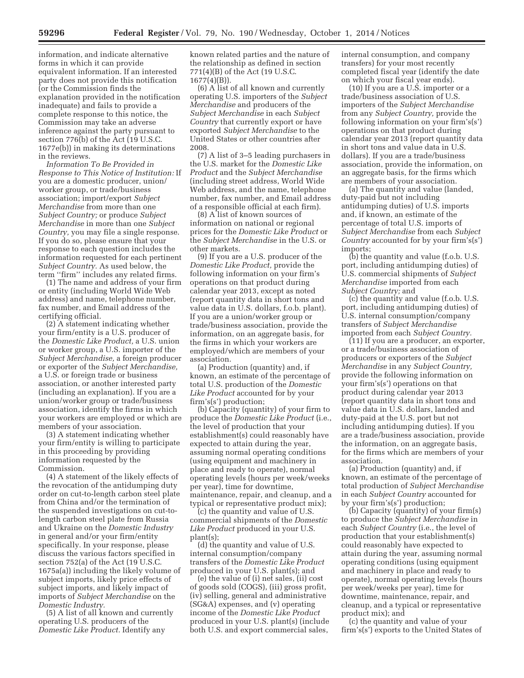information, and indicate alternative forms in which it can provide equivalent information. If an interested party does not provide this notification (or the Commission finds the explanation provided in the notification inadequate) and fails to provide a complete response to this notice, the Commission may take an adverse inference against the party pursuant to section 776(b) of the Act (19 U.S.C. 1677e(b)) in making its determinations in the reviews.

*Information To Be Provided in Response to This Notice of Institution:* If you are a domestic producer, union/ worker group, or trade/business association; import/export *Subject Merchandise* from more than one *Subject Country;* or produce *Subject Merchandise* in more than one *Subject Country,* you may file a single response. If you do so, please ensure that your response to each question includes the information requested for each pertinent *Subject Country.* As used below, the term ''firm'' includes any related firms.

(1) The name and address of your firm or entity (including World Wide Web address) and name, telephone number, fax number, and Email address of the certifying official.

(2) A statement indicating whether your firm/entity is a U.S. producer of the *Domestic Like Product,* a U.S. union or worker group, a U.S. importer of the *Subject Merchandise,* a foreign producer or exporter of the *Subject Merchandise,*  a U.S. or foreign trade or business association, or another interested party (including an explanation). If you are a union/worker group or trade/business association, identify the firms in which your workers are employed or which are members of your association.

(3) A statement indicating whether your firm/entity is willing to participate in this proceeding by providing information requested by the Commission.

(4) A statement of the likely effects of the revocation of the antidumping duty order on cut-to-length carbon steel plate from China and/or the termination of the suspended investigations on cut-tolength carbon steel plate from Russia and Ukraine on the *Domestic Industry*  in general and/or your firm/entity specifically. In your response, please discuss the various factors specified in section 752(a) of the Act (19 U.S.C. 1675a(a)) including the likely volume of subject imports, likely price effects of subject imports, and likely impact of imports of *Subject Merchandise* on the *Domestic Industry.* 

(5) A list of all known and currently operating U.S. producers of the *Domestic Like Product.* Identify any

known related parties and the nature of the relationship as defined in section 771(4)(B) of the Act (19 U.S.C. 1677(4)(B)).

(6) A list of all known and currently operating U.S. importers of the *Subject Merchandise* and producers of the *Subject Merchandise* in each *Subject Country* that currently export or have exported *Subject Merchandise* to the United States or other countries after 2008.

(7) A list of 3–5 leading purchasers in the U.S. market for the *Domestic Like Product* and the *Subject Merchandise*  (including street address, World Wide Web address, and the name, telephone number, fax number, and Email address of a responsible official at each firm).

(8) A list of known sources of information on national or regional prices for the *Domestic Like Product* or the *Subject Merchandise* in the U.S. or other markets.

(9) If you are a U.S. producer of the *Domestic Like Product,* provide the following information on your firm's operations on that product during calendar year 2013, except as noted (report quantity data in short tons and value data in U.S. dollars, f.o.b. plant). If you are a union/worker group or trade/business association, provide the information, on an aggregate basis, for the firms in which your workers are employed/which are members of your association.

(a) Production (quantity) and, if known, an estimate of the percentage of total U.S. production of the *Domestic Like Product* accounted for by your firm's(s') production;

(b) Capacity (quantity) of your firm to produce the *Domestic Like Product* (i.e., the level of production that your establishment(s) could reasonably have expected to attain during the year, assuming normal operating conditions (using equipment and machinery in place and ready to operate), normal operating levels (hours per week/weeks per year), time for downtime, maintenance, repair, and cleanup, and a typical or representative product mix);

(c) the quantity and value of U.S. commercial shipments of the *Domestic Like Product* produced in your U.S. plant(s);

(d) the quantity and value of U.S. internal consumption/company transfers of the *Domestic Like Product*  produced in your U.S. plant(s); and

(e) the value of (i) net sales, (ii) cost of goods sold (COGS), (iii) gross profit, (iv) selling, general and administrative (SG&A) expenses, and (v) operating income of the *Domestic Like Product*  produced in your U.S. plant(s) (include both U.S. and export commercial sales,

internal consumption, and company transfers) for your most recently completed fiscal year (identify the date on which your fiscal year ends).

(10) If you are a U.S. importer or a trade/business association of U.S. importers of the *Subject Merchandise*  from any *Subject Country,* provide the following information on your firm's(s') operations on that product during calendar year 2013 (report quantity data in short tons and value data in U.S. dollars). If you are a trade/business association, provide the information, on an aggregate basis, for the firms which are members of your association.

(a) The quantity and value (landed, duty-paid but not including antidumping duties) of U.S. imports and, if known, an estimate of the percentage of total U.S. imports of *Subject Merchandise* from each *Subject Country* accounted for by your firm's(s') imports;

(b) the quantity and value (f.o.b. U.S. port, including antidumping duties) of U.S. commercial shipments of *Subject Merchandise* imported from each *Subject Country;* and

(c) the quantity and value (f.o.b. U.S. port, including antidumping duties) of U.S. internal consumption/company transfers of *Subject Merchandise*  imported from each *Subject Country.* 

(11) If you are a producer, an exporter, or a trade/business association of producers or exporters of the *Subject Merchandise* in any *Subject Country,*  provide the following information on your firm's(s') operations on that product during calendar year 2013 (report quantity data in short tons and value data in U.S. dollars, landed and duty-paid at the U.S. port but not including antidumping duties). If you are a trade/business association, provide the information, on an aggregate basis, for the firms which are members of your association.

(a) Production (quantity) and, if known, an estimate of the percentage of total production of *Subject Merchandise*  in each *Subject Country* accounted for by your firm's(s') production;

(b) Capacity (quantity) of your firm(s) to produce the *Subject Merchandise* in each *Subject Country* (i.e., the level of production that your establishment(s) could reasonably have expected to attain during the year, assuming normal operating conditions (using equipment and machinery in place and ready to operate), normal operating levels (hours per week/weeks per year), time for downtime, maintenance, repair, and cleanup, and a typical or representative product mix); and

(c) the quantity and value of your firm's(s') exports to the United States of